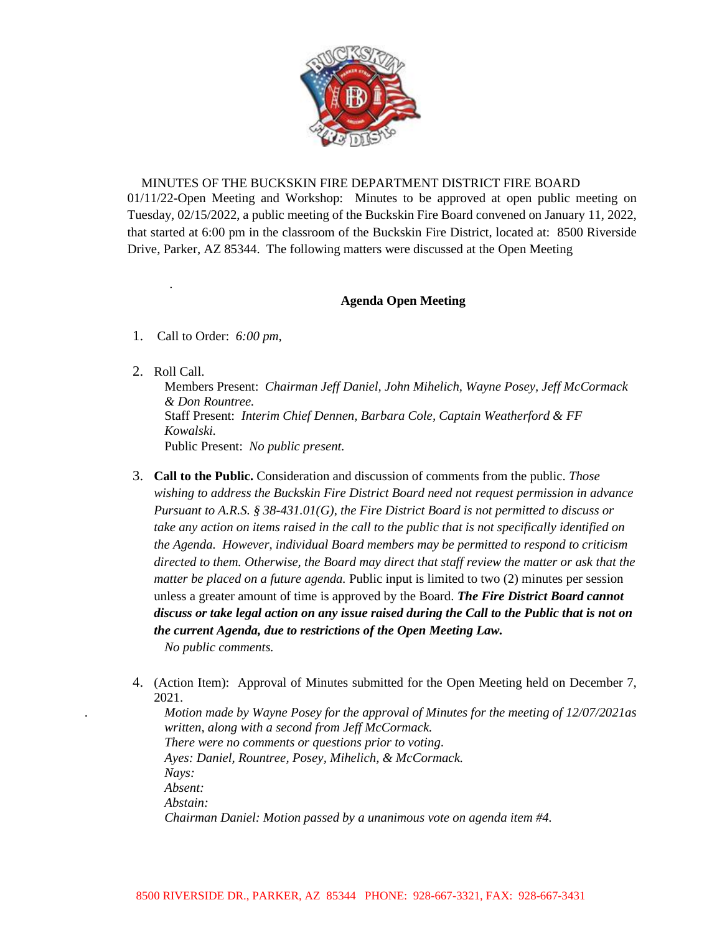

## MINUTES OF THE BUCKSKIN FIRE DEPARTMENT DISTRICT FIRE BOARD

01/11/22-Open Meeting and Workshop: Minutes to be approved at open public meeting on Tuesday, 02/15/2022, a public meeting of the Buckskin Fire Board convened on January 11, 2022, that started at 6:00 pm in the classroom of the Buckskin Fire District, located at: 8500 Riverside Drive, Parker, AZ 85344. The following matters were discussed at the Open Meeting

## **Agenda Open Meeting**

- 1. Call to Order: *6:00 pm,*
- 2. Roll Call.

*.*

Members Present: *Chairman Jeff Daniel, John Mihelich, Wayne Posey, Jeff McCormack & Don Rountree.*  Staff Present: *Interim Chief Dennen, Barbara Cole, Captain Weatherford & FF Kowalski.*  Public Present: *No public present.*

3. **Call to the Public.** Consideration and discussion of comments from the public. *Those wishing to address the Buckskin Fire District Board need not request permission in advance Pursuant to A.R.S. § 38-431.01(G), the Fire District Board is not permitted to discuss or take any action on items raised in the call to the public that is not specifically identified on the Agenda. However, individual Board members may be permitted to respond to criticism directed to them. Otherwise, the Board may direct that staff review the matter or ask that the matter be placed on a future agenda.* Public input is limited to two (2) minutes per session unless a greater amount of time is approved by the Board. *The Fire District Board cannot discuss or take legal action on any issue raised during the Call to the Public that is not on the current Agenda, due to restrictions of the Open Meeting Law.*

*No public comments.*

4. (Action Item): Approval of Minutes submitted for the Open Meeting held on December 7, 2021.

*. Motion made by Wayne Posey for the approval of Minutes for the meeting of 12/07/2021as written, along with a second from Jeff McCormack. There were no comments or questions prior to voting*. *Ayes: Daniel, Rountree, Posey, Mihelich, & McCormack. Nays: Absent: Abstain: Chairman Daniel: Motion passed by a unanimous vote on agenda item #4.*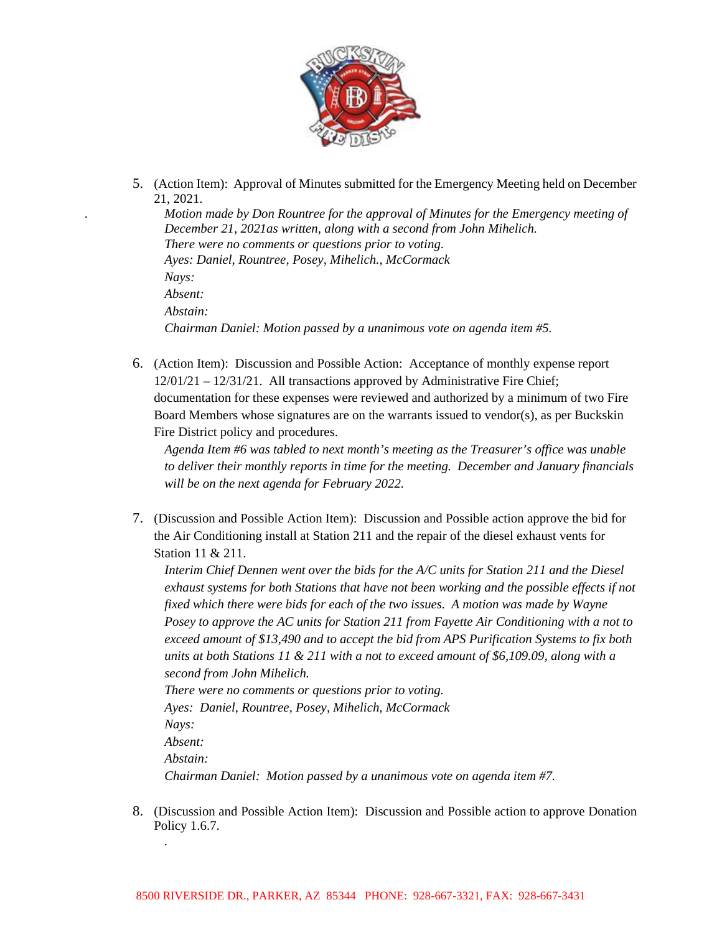

5. (Action Item): Approval of Minutes submitted for the Emergency Meeting held on December 21, 2021.

*. Motion made by Don Rountree for the approval of Minutes for the Emergency meeting of December 21, 2021as written, along with a second from John Mihelich. There were no comments or questions prior to voting*. *Ayes: Daniel, Rountree, Posey, Mihelich., McCormack Nays: Absent: Abstain: Chairman Daniel: Motion passed by a unanimous vote on agenda item #5.*

6. (Action Item): Discussion and Possible Action: Acceptance of monthly expense report 12/01/21 – 12/31/21. All transactions approved by Administrative Fire Chief; documentation for these expenses were reviewed and authorized by a minimum of two Fire Board Members whose signatures are on the warrants issued to vendor(s), as per Buckskin Fire District policy and procedures.

*Agenda Item #6 was tabled to next month's meeting as the Treasurer's office was unable to deliver their monthly reports in time for the meeting. December and January financials will be on the next agenda for February 2022.*

7. (Discussion and Possible Action Item): Discussion and Possible action approve the bid for the Air Conditioning install at Station 211 and the repair of the diesel exhaust vents for Station 11 & 211.

*Interim Chief Dennen went over the bids for the A/C units for Station 211 and the Diesel exhaust systems for both Stations that have not been working and the possible effects if not fixed which there were bids for each of the two issues. A motion was made by Wayne Posey to approve the AC units for Station 211 from Fayette Air Conditioning with a not to exceed amount of \$13,490 and to accept the bid from APS Purification Systems to fix both units at both Stations 11 & 211 with a not to exceed amount of \$6,109.09, along with a second from John Mihelich. There were no comments or questions prior to voting.* 

*Ayes: Daniel, Rountree, Posey, Mihelich, McCormack Nays: Absent: Abstain: Chairman Daniel: Motion passed by a unanimous vote on agenda item #7.*

8. (Discussion and Possible Action Item): Discussion and Possible action to approve Donation Policy 1.6.7.

*.*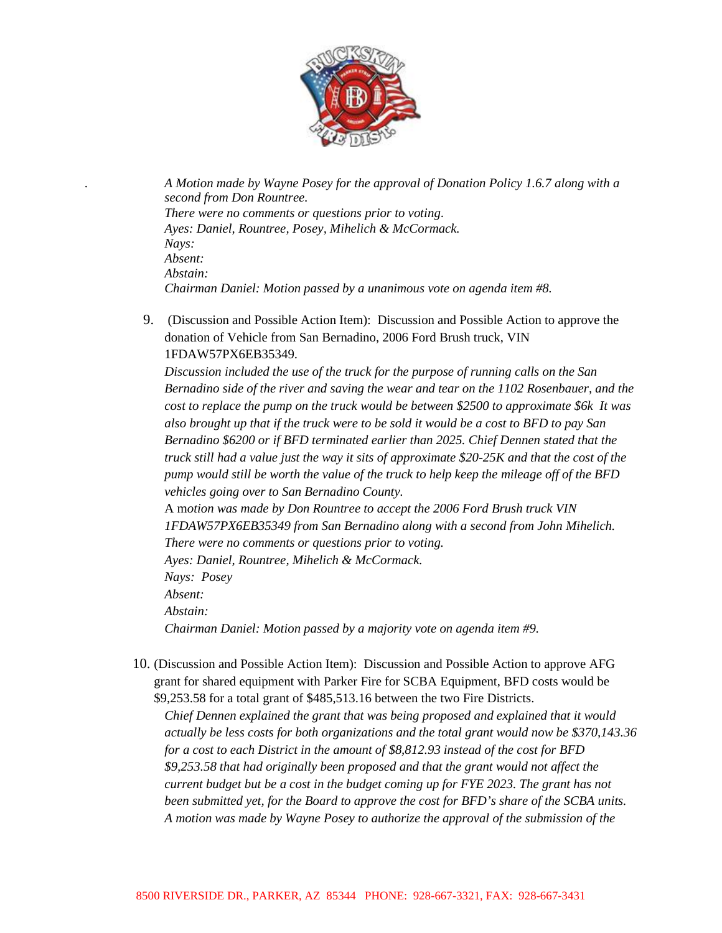

*. A Motion made by Wayne Posey for the approval of Donation Policy 1.6.7 along with a second from Don Rountree. There were no comments or questions prior to voting*. *Ayes: Daniel, Rountree, Posey, Mihelich & McCormack. Nays: Absent: Abstain: Chairman Daniel: Motion passed by a unanimous vote on agenda item #8.*

9. (Discussion and Possible Action Item): Discussion and Possible Action to approve the donation of Vehicle from San Bernadino, 2006 Ford Brush truck, VIN 1FDAW57PX6EB35349.

*Discussion included the use of the truck for the purpose of running calls on the San Bernadino side of the river and saving the wear and tear on the 1102 Rosenbauer, and the cost to replace the pump on the truck would be between \$2500 to approximate \$6k It was also brought up that if the truck were to be sold it would be a cost to BFD to pay San Bernadino \$6200 or if BFD terminated earlier than 2025. Chief Dennen stated that the truck still had a value just the way it sits of approximate \$20-25K and that the cost of the pump would still be worth the value of the truck to help keep the mileage off of the BFD vehicles going over to San Bernadino County.*

A m*otion was made by Don Rountree to accept the 2006 Ford Brush truck VIN 1FDAW57PX6EB35349 from San Bernadino along with a second from John Mihelich. There were no comments or questions prior to voting.*

*Ayes: Daniel, Rountree, Mihelich & McCormack. Nays: Posey Absent: Abstain: Chairman Daniel: Motion passed by a majority vote on agenda item #9.*

10. (Discussion and Possible Action Item): Discussion and Possible Action to approve AFG grant for shared equipment with Parker Fire for SCBA Equipment, BFD costs would be \$9,253.58 for a total grant of \$485,513.16 between the two Fire Districts.

*Chief Dennen explained the grant that was being proposed and explained that it would actually be less costs for both organizations and the total grant would now be \$370,143.36 for a cost to each District in the amount of \$8,812.93 instead of the cost for BFD \$9,253.58 that had originally been proposed and that the grant would not affect the current budget but be a cost in the budget coming up for FYE 2023. The grant has not been submitted yet, for the Board to approve the cost for BFD's share of the SCBA units. A motion was made by Wayne Posey to authorize the approval of the submission of the*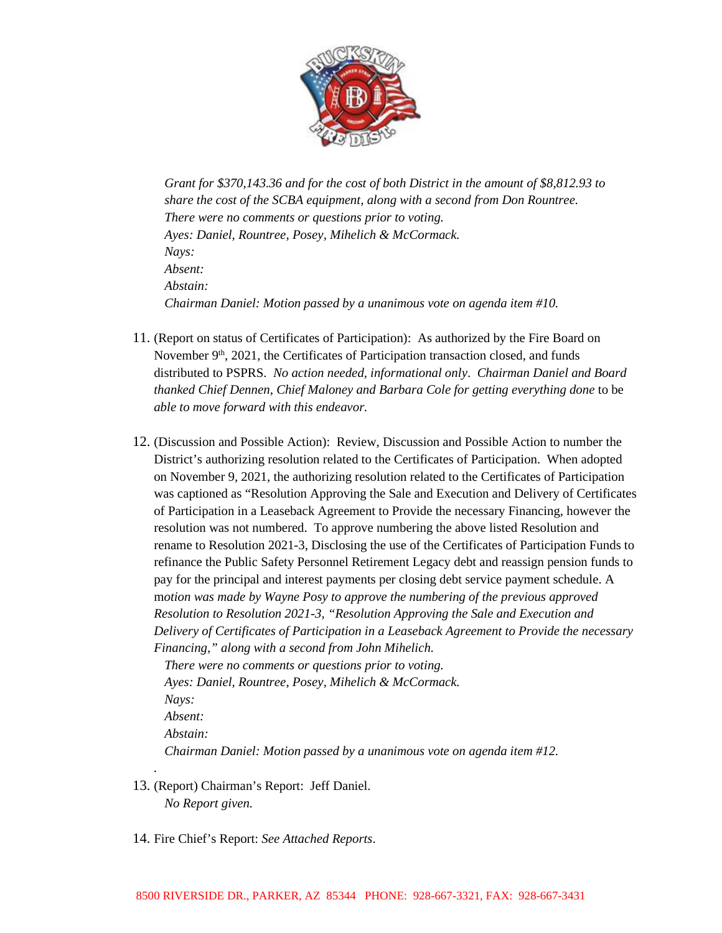

*Grant for \$370,143.36 and for the cost of both District in the amount of \$8,812.93 to share the cost of the SCBA equipment, along with a second from Don Rountree. There were no comments or questions prior to voting. Ayes: Daniel, Rountree, Posey, Mihelich & McCormack. Nays: Absent: Abstain: Chairman Daniel: Motion passed by a unanimous vote on agenda item #10.* 

- 11. (Report on status of Certificates of Participation): As authorized by the Fire Board on November  $9<sup>th</sup>$ , 2021, the Certificates of Participation transaction closed, and funds distributed to PSPRS. *No action needed, informational only*. *Chairman Daniel and Board thanked Chief Dennen, Chief Maloney and Barbara Cole for getting everything done* to be *able to move forward with this endeavor.*
- 12. (Discussion and Possible Action): Review, Discussion and Possible Action to number the District's authorizing resolution related to the Certificates of Participation. When adopted on November 9, 2021, the authorizing resolution related to the Certificates of Participation was captioned as "Resolution Approving the Sale and Execution and Delivery of Certificates of Participation in a Leaseback Agreement to Provide the necessary Financing, however the resolution was not numbered. To approve numbering the above listed Resolution and rename to Resolution 2021-3, Disclosing the use of the Certificates of Participation Funds to refinance the Public Safety Personnel Retirement Legacy debt and reassign pension funds to pay for the principal and interest payments per closing debt service payment schedule. A m*otion was made by Wayne Posy to approve the numbering of the previous approved Resolution to Resolution 2021-3, "Resolution Approving the Sale and Execution and Delivery of Certificates of Participation in a Leaseback Agreement to Provide the necessary Financing," along with a second from John Mihelich.*

*There were no comments or questions prior to voting. Ayes: Daniel, Rountree, Posey, Mihelich & McCormack. Nays: Absent: Abstain: Chairman Daniel: Motion passed by a unanimous vote on agenda item #12.* 

13. (Report) Chairman's Report: Jeff Daniel. *No Report given.* 

*.* 

14. Fire Chief's Report: *See Attached Reports*.